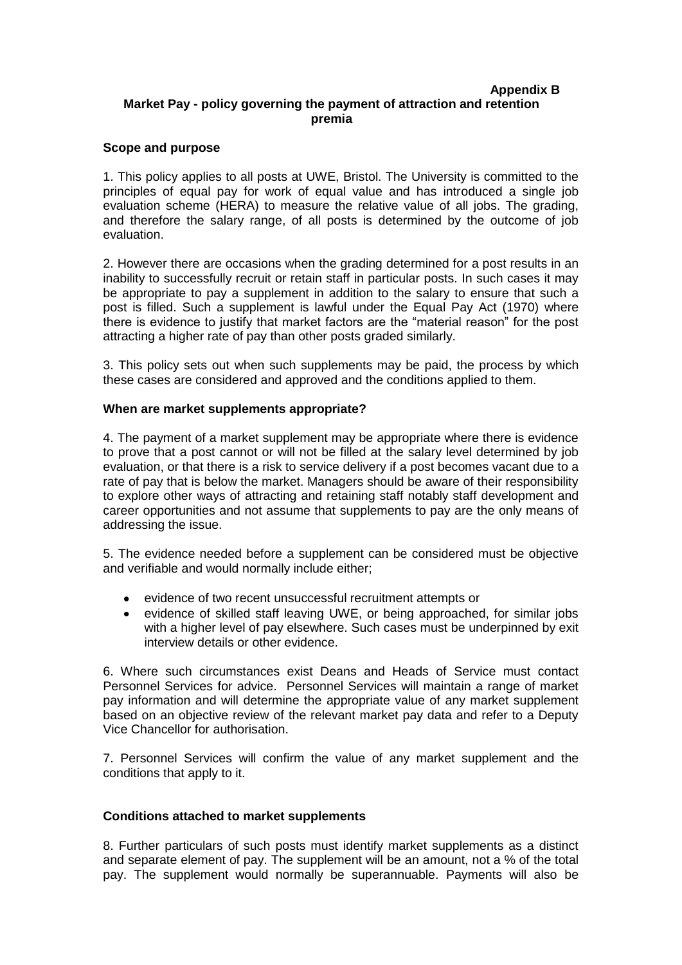#### **Appendix B Market Pay - policy governing the payment of attraction and retention premia**

# **Scope and purpose**

1. This policy applies to all posts at UWE, Bristol. The University is committed to the principles of equal pay for work of equal value and has introduced a single job evaluation scheme (HERA) to measure the relative value of all jobs. The grading, and therefore the salary range, of all posts is determined by the outcome of job evaluation.

2. However there are occasions when the grading determined for a post results in an inability to successfully recruit or retain staff in particular posts. In such cases it may be appropriate to pay a supplement in addition to the salary to ensure that such a post is filled. Such a supplement is lawful under the Equal Pay Act (1970) where there is evidence to justify that market factors are the "material reason" for the post attracting a higher rate of pay than other posts graded similarly.

3. This policy sets out when such supplements may be paid, the process by which these cases are considered and approved and the conditions applied to them.

## **When are market supplements appropriate?**

4. The payment of a market supplement may be appropriate where there is evidence to prove that a post cannot or will not be filled at the salary level determined by job evaluation, or that there is a risk to service delivery if a post becomes vacant due to a rate of pay that is below the market. Managers should be aware of their responsibility to explore other ways of attracting and retaining staff notably staff development and career opportunities and not assume that supplements to pay are the only means of addressing the issue.

5. The evidence needed before a supplement can be considered must be objective and verifiable and would normally include either;

- evidence of two recent unsuccessful recruitment attempts or
- evidence of skilled staff leaving UWE, or being approached, for similar jobs with a higher level of pay elsewhere. Such cases must be underpinned by exit interview details or other evidence.

6. Where such circumstances exist Deans and Heads of Service must contact Personnel Services for advice. Personnel Services will maintain a range of market pay information and will determine the appropriate value of any market supplement based on an objective review of the relevant market pay data and refer to a Deputy Vice Chancellor for authorisation.

7. Personnel Services will confirm the value of any market supplement and the conditions that apply to it.

#### **Conditions attached to market supplements**

8. Further particulars of such posts must identify market supplements as a distinct and separate element of pay. The supplement will be an amount, not a % of the total pay. The supplement would normally be superannuable. Payments will also be